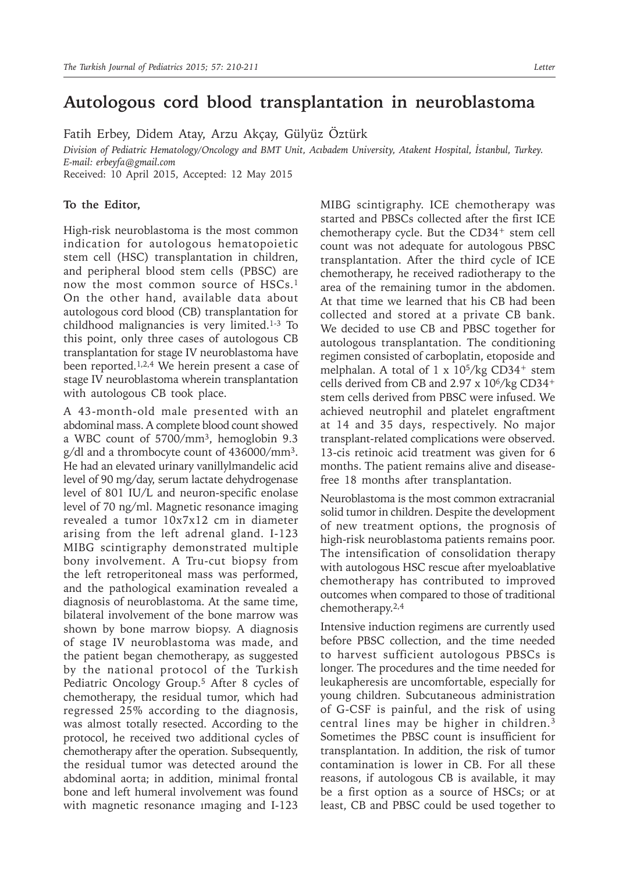## **Autologous cord blood transplantation in neuroblastoma**

Fatih Erbey, Didem Atay, Arzu Akçay, Gülyüz Öztürk

*Division of Pediatric Hematology/Oncology and BMT Unit, Acıbadem University, Atakent Hospital, İstanbul, Turkey. E-mail: erbeyfa@gmail.com*

Received: 10 April 2015, Accepted: 12 May 2015

## **To the Editor,**

High-risk neuroblastoma is the most common indication for autologous hematopoietic stem cell (HSC) transplantation in children, and peripheral blood stem cells (PBSC) are now the most common source of HSCs.<sup>1</sup> On the other hand, available data about autologous cord blood (CB) transplantation for childhood malignancies is very limited.1-3 To this point, only three cases of autologous CB transplantation for stage IV neuroblastoma have been reported.<sup>1,2,4</sup> We herein present a case of stage IV neuroblastoma wherein transplantation with autologous CB took place.

A 43-month-old male presented with an abdominal mass. A complete blood count showed a WBC count of 5700/mm<sup>3</sup>, hemoglobin 9.3 g/dl and a thrombocyte count of 436000/mm<sup>3</sup>. He had an elevated urinary vanillylmandelic acid level of 90 mg/day, serum lactate dehydrogenase level of 801 IU/L and neuron-specific enolase level of 70 ng/ml. Magnetic resonance imaging revealed a tumor 10x7x12 cm in diameter arising from the left adrenal gland. I-123 MIBG scintigraphy demonstrated multiple bony involvement. A Tru-cut biopsy from the left retroperitoneal mass was performed, and the pathological examination revealed a diagnosis of neuroblastoma. At the same time, bilateral involvement of the bone marrow was shown by bone marrow biopsy. A diagnosis of stage IV neuroblastoma was made, and the patient began chemotherapy, as suggested by the national protocol of the Turkish Pediatric Oncology Group.<sup>5</sup> After 8 cycles of chemotherapy, the residual tumor, which had regressed 25% according to the diagnosis, was almost totally resected. According to the protocol, he received two additional cycles of chemotherapy after the operation. Subsequently, the residual tumor was detected around the abdominal aorta; in addition, minimal frontal bone and left humeral involvement was found with magnetic resonance ımaging and I-123

MIBG scintigraphy. ICE chemotherapy was started and PBSCs collected after the first ICE chemotherapy cycle. But the CD34+ stem cell count was not adequate for autologous PBSC transplantation. After the third cycle of ICE chemotherapy, he received radiotherapy to the area of the remaining tumor in the abdomen. At that time we learned that his CB had been collected and stored at a private CB bank. We decided to use CB and PBSC together for autologous transplantation. The conditioning regimen consisted of carboplatin, etoposide and melphalan. A total of 1 x 10<sup>5</sup>/kg CD34+ stem cells derived from CB and  $2.97 \times 10^6/kg$  CD34<sup>+</sup> stem cells derived from PBSC were infused. We achieved neutrophil and platelet engraftment at 14 and 35 days, respectively. No major transplant-related complications were observed. 13-cis retinoic acid treatment was given for 6 months. The patient remains alive and diseasefree 18 months after transplantation.

Neuroblastoma is the most common extracranial solid tumor in children. Despite the development of new treatment options, the prognosis of high-risk neuroblastoma patients remains poor. The intensification of consolidation therapy with autologous HSC rescue after myeloablative chemotherapy has contributed to improved outcomes when compared to those of traditional chemotherapy.2,4

Intensive induction regimens are currently used before PBSC collection, and the time needed to harvest sufficient autologous PBSCs is longer. The procedures and the time needed for leukapheresis are uncomfortable, especially for young children. Subcutaneous administration of G-CSF is painful, and the risk of using central lines may be higher in children.<sup>3</sup> Sometimes the PBSC count is insufficient for transplantation. In addition, the risk of tumor contamination is lower in CB. For all these reasons, if autologous CB is available, it may be a first option as a source of HSCs; or at least, CB and PBSC could be used together to